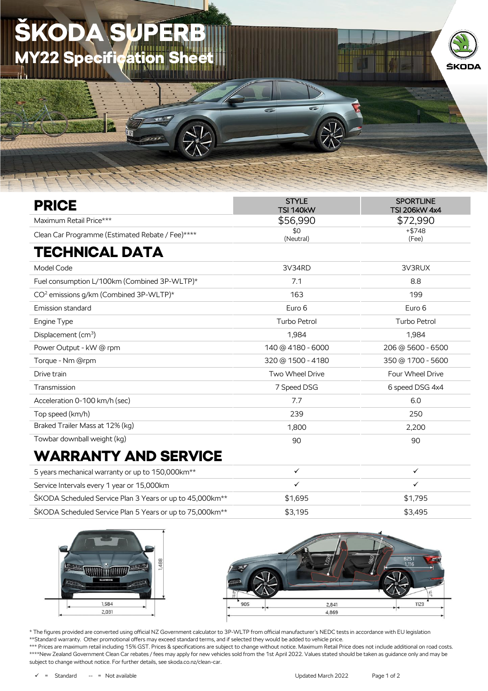## KODA **Y22 Specification**



## WARRANTY AND SERVICE

| 5 years mechanical warranty or up to 150,000 km <sup>**</sup>        |         |         |
|----------------------------------------------------------------------|---------|---------|
| Service Intervals every 1 year or 15,000km                           |         |         |
| ŠKODA Scheduled Service Plan 3 Years or up to 45,000km <sup>**</sup> | \$1.695 | \$1.795 |
| ŠKODA Scheduled Service Plan 5 Years or up to 75,000km <sup>**</sup> | \$3.195 | \$3.495 |





\* The figures provided are converted using official NZ Government calculator to 3P-WLTP from official manufacturer's NEDC tests in accordance with EU legislation \*\*Standard warranty. Other promotional offers may exceed standard terms, and if selected they would be added to vehicle price.

\*\*\* Prices are maximum retail including 15% GST. Prices & specifications are subject to change without notice. Maximum Retail Price does not include additional on road costs. \*\*\*\*New Zealand Government Clean Car rebates / fees may apply for new vehicles sold from the 1st April 2022. Values stated should be taken as guidance only and may be subject to change without notice. For further details, see skoda.co.nz/clean-car.